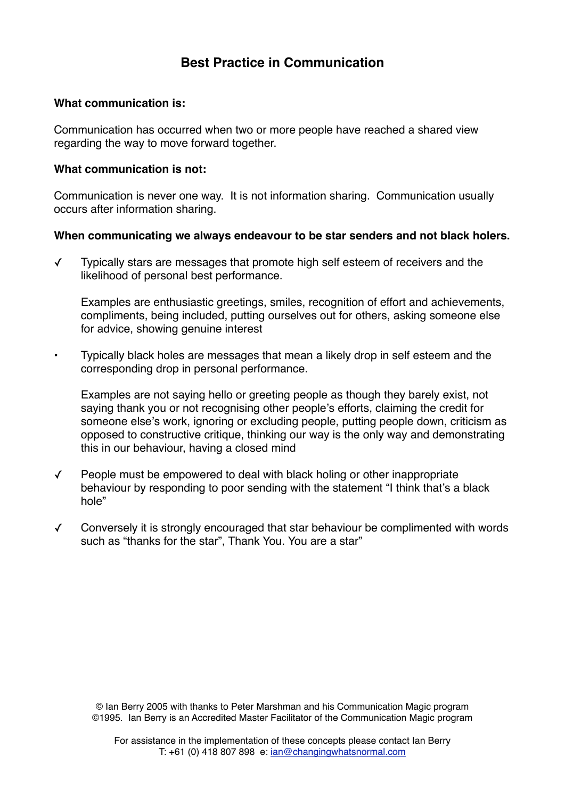# **Best Practice in Communication**

### **What communication is:**

Communication has occurred when two or more people have reached a shared view regarding the way to move forward together.

### **What communication is not:**

Communication is never one way. It is not information sharing. Communication usually occurs after information sharing.

### **When communicating we always endeavour to be star senders and not black holers.**

✓ Typically stars are messages that promote high self esteem of receivers and the likelihood of personal best performance.

Examples are enthusiastic greetings, smiles, recognition of effort and achievements, compliments, being included, putting ourselves out for others, asking someone else for advice, showing genuine interest

• Typically black holes are messages that mean a likely drop in self esteem and the corresponding drop in personal performance.

Examples are not saying hello or greeting people as though they barely exist, not saying thank you or not recognising other people's efforts, claiming the credit for someone else's work, ignoring or excluding people, putting people down, criticism as opposed to constructive critique, thinking our way is the only way and demonstrating this in our behaviour, having a closed mind

- ✓ People must be empowered to deal with black holing or other inappropriate behaviour by responding to poor sending with the statement "I think that's a black hole"
- ✓ Conversely it is strongly encouraged that star behaviour be complimented with words such as "thanks for the star", Thank You. You are a star"

© Ian Berry 2005 with thanks to Peter Marshman and his Communication Magic program ©1995. Ian Berry is an Accredited Master Facilitator of the Communication Magic program